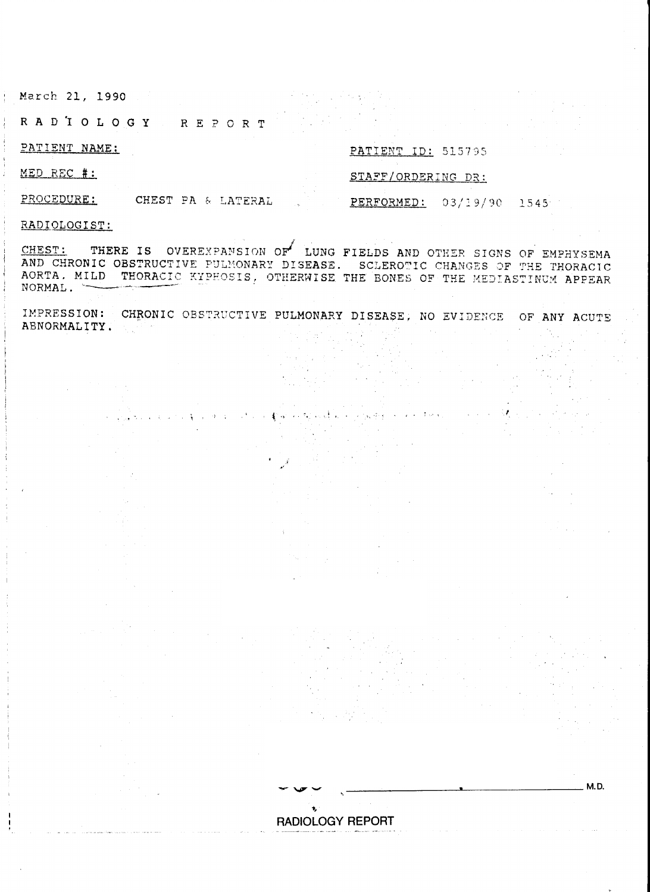March 21, 1990

RADIOLOGY REPORT

PATIENT NAME:

## PATIENT ID: 515795

PERFORMED:

MED REC #:

## STAFF/ORDERING DR:

 $03/19/90$  1545

**M.D.** 

PROCEDURE: CHEST PA & LATERAL

RADIOLOGIST:

THERE IS OVEREXPANSION OF LUNG FIELDS AND OTHER SIGNS OF EMPHYSEMA CHEST: AND CHRONIC OBSTRUCTIVE PULMONARY DISEASE. SCLEROTIC CHANGES OF THE THORACIC AORTA. MILD THORACIC KYPHOSIS, OTHERWISE THE BONES OF THE MEDIASTINUM APPEAR NORMAL.

IMPRESSION: CHRONIC OBSTRUCTIVE PULMONARY DISEASE, NO EVIDENCE OF ANY ACUTE ABNORMALITY.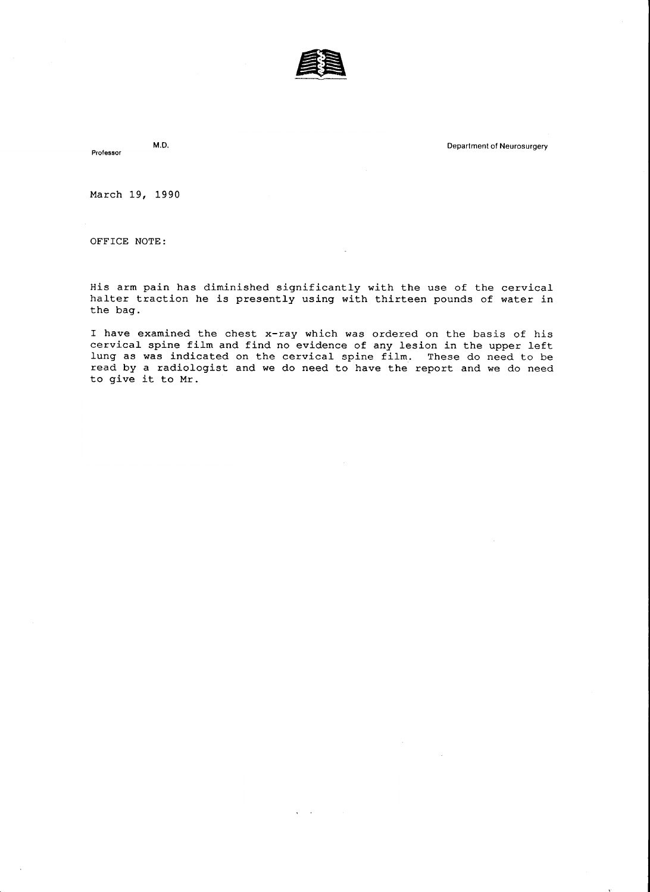

Professor

M.D. Department of Neurosurgery

March L9, 1990

OFFICE NOTE:

His arm pain has diminished significantly with the use of the cervical halter traction he is presently using with thirteen pounds of water in the bag.

I have examined the chest x-ray which was ordered on the basis of his cervical spine film and find no evidence of any lesion in the upper left lung as was indicated on the cervical spine film. These do need to be read by a radiologist and we do need to have the report and we do need to give it to Mr.

(4141 257.4846